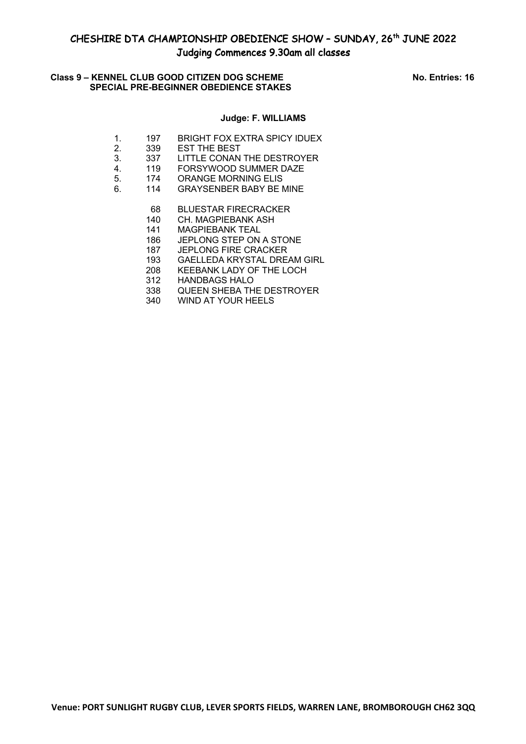### **Class 9 – KENNEL CLUB GOOD CITIZEN DOG SCHEME No. Entries: 16 SPECIAL PRE-BEGINNER OBEDIENCE STAKES**

### **Judge: F. WILLIAMS**

- 1. 197 BRIGHT FOX EXTRA SPICY IDUEX
- 2.  $339$  EST THE BEST
- 3. 337 LITTLE CONAN THE DESTROYER
- 4. 119 FORSYWOOD SUMMER DAZE
- 5. 174 ORANGE MORNING ELIS
- 6. 114 GRAYSENBER BABY BE MINE
	- 68 BLUESTAR FIRECRACKER
	- 140 CH. MAGPIEBANK ASH
	- 141 MAGPIEBANK TEAL
	- 186 JEPLONG STEP ON A STONE
	- 187 JEPLONG FIRE CRACKER
	- 193 GAELLEDA KRYSTAL DREAM GIRL
	- 208 KEEBANK LADY OF THE LOCH
	- 312 HANDBAGS HALO
	- 338 QUEEN SHEBA THE DESTROYER
	- 340 WIND AT YOUR HEELS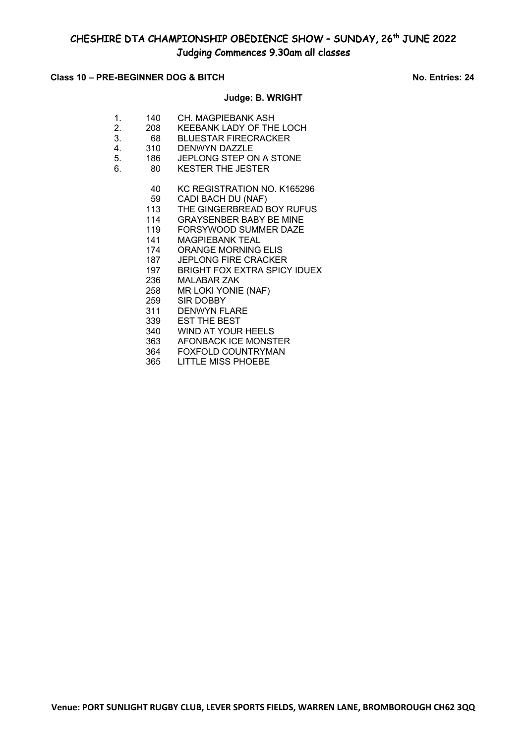### **Class 10 – PRE-BEGINNER DOG & BITCH No. Entries: 24**

# **Judge: B. WRIGHT**

- 1. 140 CH. MAGPIEBANK ASH 2. 208 KEEBANK LADY OF THE LOCH
- 3. 68 BLUESTAR FIRECRACKER
- 4. 310 DENWYN DAZZLE
- 5. 186 JEPLONG STEP ON A STONE 5. 186 JEPLONG STEP ON A<br>6. 80 KESTER THE JESTER
	- - 40 KC REGISTRATION NO. K165296<br>59 CADI BACH DU (NAF)
		- 59 CADI BACH DU (NAF)<br>113 THE GINGERBREAD E
		- THE GINGERBREAD BOY RUFUS
		- 114 GRAYSENBER BABY BE MINE
		- 119 FORSYWOOD SUMMER DAZE
		- 141 MAGPIEBANK TEAL
		- 174 ORANGE MORNING ELIS
		- 187 JEPLONG FIRE CRACKER
		- 197 BRIGHT FOX EXTRA SPICY IDUEX
		- 236 MALABAR ZAK
		- 258 MR LOKI YONIE (NAF)
		- 259 SIR DOBBY
		- 311 DENWYN FLARE
		- 339 EST THE BEST
		- 340 WIND AT YOUR HEELS
		- 363 AFONBACK ICE MONSTER
		- 364 FOXFOLD COUNTRYMAN<br>365 LITTLE MISS PHOEBE LITTLE MISS PHOEBE

**Venue: PORT SUNLIGHT RUGBY CLUB, LEVER SPORTS FIELDS, WARREN LANE, BROMBOROUGH CH62 3QQ**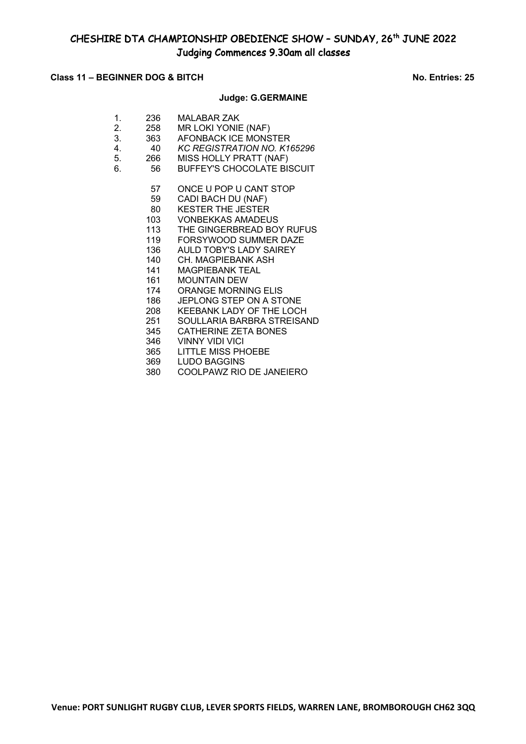### **Class 11 – BEGINNER DOG & BITCH No. Entries: 25**

### **Judge: G.GERMAINE**

| 1. | 236 | <b>MALABAR ZAK</b>                |
|----|-----|-----------------------------------|
| 2. | 258 | MR LOKI YONIE (NAF)               |
| 3. | 363 | AFONBACK ICE MONSTER              |
| 4. | 40  | KC REGISTRATION NO. K165296       |
| 5. | 266 | MISS HOLLY PRATT (NAF)            |
| 6. | 56  | <b>BUFFEY'S CHOCOLATE BISCUIT</b> |
|    |     |                                   |
|    | 57  | ONCE U POP U CANT STOP            |
|    | 59  | CADI BACH DU (NAF)                |
|    | 80  | <b>KESTER THE JESTER</b>          |

- 103 VONBEKKAS AMADEUS
- 113 THE GINGERBREAD BOY RUFUS
- 119 FORSYWOOD SUMMER DAZE
- 136 AULD TOBY'S LADY SAIREY
- 140 CH. MAGPIEBANK ASH
- 141 MAGPIEBANK TEAL
- 161 MOUNTAIN DEW
- 174 ORANGE MORNING ELIS
- 186 JEPLONG STEP ON A STONE
- 208 KEEBANK LADY OF THE LOCH
- 251 SOULLARIA BARBRA STREISAND
- 345 CATHERINE ZETA BONES
- 346 VINNY VIDI VICI
- 365 LITTLE MISS PHOEBE
- 
- 369 LUDO BAGGINS<br>380 COOLPAWZ RIO 380 COOLPAWZ RIO DE JANEIERO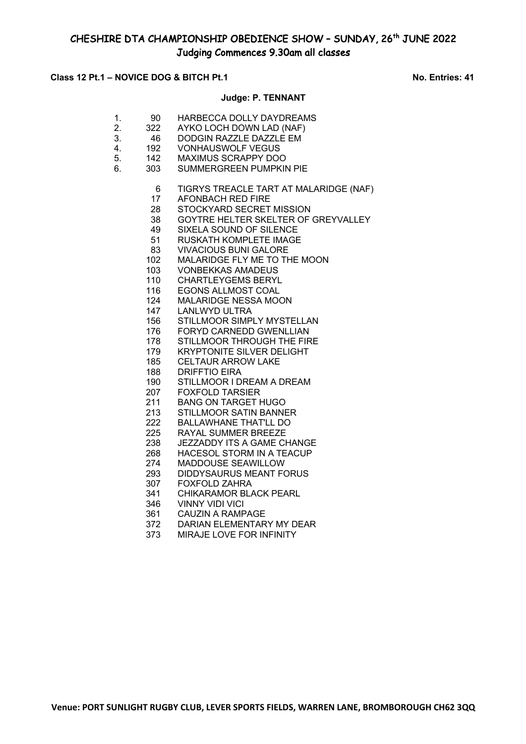## **Class 12 Pt.1 – NOVICE DOG & BITCH Pt.1** NO. Entries: 41

## **Judge: P. TENNANT**

| 1.<br>2.<br>3. | 90<br>322<br>46 | HARBECCA DOLLY DAYDREAMS<br>AYKO LOCH DOWN LAD (NAF)<br>DODGIN RAZZLE DAZZLE EM |
|----------------|-----------------|---------------------------------------------------------------------------------|
| 4.             | 192             | <b>VONHAUSWOLF VEGUS</b>                                                        |
| 5.             | 142             | MAXIMUS SCRAPPY DOO                                                             |
| 6.             | 303             | SUMMERGREEN PUMPKIN PIE                                                         |
|                | 6               | TIGRYS TREACLE TART AT MALARIDGE (NAF)                                          |
|                | 17              | <b>AFONBACH RED FIRE</b>                                                        |
|                | 28              | STOCKYARD SECRET MISSION                                                        |
|                | 38              | GOYTRE HELTER SKELTER OF GREYVALLEY                                             |
|                | 49              | SIXELA SOUND OF SILENCE                                                         |
|                | 51              | RUSKATH KOMPLETE IMAGE                                                          |
|                | 83              | <b>VIVACIOUS BUNI GALORE</b>                                                    |
|                | 102             | MALARIDGE FLY ME TO THE MOON                                                    |
|                | 103             | <b>VONBEKKAS AMADEUS</b>                                                        |
|                | 110             | <b>CHARTLEYGEMS BERYL</b>                                                       |
|                | 116             | <b>EGONS ALLMOST COAL</b>                                                       |
|                | 124             | MALARIDGE NESSA MOON                                                            |
|                | 147             | <b>LANLWYD ULTRA</b>                                                            |
|                | 156             | STILLMOOR SIMPLY MYSTELLAN                                                      |
|                | 176             | FORYD CARNEDD GWENLLIAN                                                         |
|                | 178             | STILLMOOR THROUGH THE FIRE                                                      |
|                | 179             | <b>KRYPTONITE SILVER DELIGHT</b>                                                |
|                | 185             | <b>CELTAUR ARROW LAKE</b>                                                       |
|                | 188             | <b>DRIFFTIO EIRA</b>                                                            |
|                | 190             | STILLMOOR I DREAM A DREAM                                                       |
|                | 207             | <b>FOXFOLD TARSIER</b>                                                          |
|                | 211             | <b>BANG ON TARGET HUGO</b>                                                      |
|                | 213             | <b>STILLMOOR SATIN BANNER</b>                                                   |
|                | 222<br>225      | <b>BALLAWHANE THAT'LL DO</b><br>RAYAL SUMMER BREEZE                             |
|                | 238             | JEZZADDY ITS A GAME CHANGE                                                      |
|                | 268             | HACESOL STORM IN A TEACUP                                                       |
|                | 274             | MADDOUSE SEAWILLOW                                                              |
|                | 293             | <b>DIDDYSAURUS MEANT FORUS</b>                                                  |
|                | 307             | <b>FOXFOLD ZAHRA</b>                                                            |
|                | 341             | <b>CHIKARAMOR BLACK PEARL</b>                                                   |
|                | 346             | <b>VINNY VIDI VICI</b>                                                          |
|                | 361             | <b>CAUZIN A RAMPAGE</b>                                                         |
|                | 372             | DARIAN ELEMENTARY MY DEAR                                                       |
|                | $\sim$ $\sim$   |                                                                                 |

MIRAJE LOVE FOR INFINITY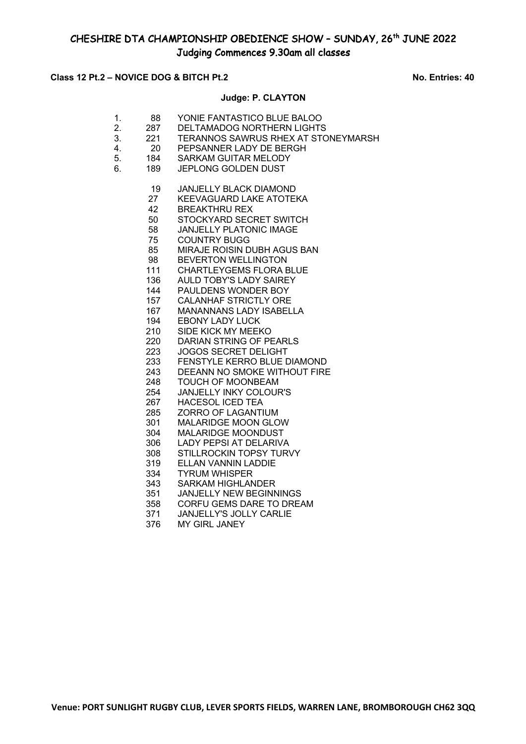## Class 12 Pt.2 – NOVICE DOG & BITCH Pt.2 No. Entries: 40

## **Judge: P. CLAYTON**

| 1.<br>2.<br>3.<br>4.<br>5.<br>6. | 88<br>287<br>221<br><b>20</b><br>184<br>189 | YONIE FANTASTICO BLUE BALOO<br><b>DELTAMADOG NORTHERN LIGHTS</b><br>TERANNOS SAWRUS RHEX AT STONEYMARSH<br>PEPSANNER LADY DE BERGH<br><b>SARKAM GUITAR MELODY</b><br>JEPLONG GOLDEN DUST |
|----------------------------------|---------------------------------------------|------------------------------------------------------------------------------------------------------------------------------------------------------------------------------------------|
|                                  | 19                                          | <b>JANJELLY BLACK DIAMOND</b>                                                                                                                                                            |
|                                  | 27                                          | <b>KEEVAGUARD LAKE ATOTEKA</b>                                                                                                                                                           |
|                                  | 42                                          | <b>BREAKTHRU REX</b>                                                                                                                                                                     |
|                                  | 50                                          | STOCKYARD SECRET SWITCH                                                                                                                                                                  |
|                                  | 58                                          | <b>JANJELLY PLATONIC IMAGE</b>                                                                                                                                                           |
|                                  | 75                                          | <b>COUNTRY BUGG</b>                                                                                                                                                                      |
|                                  | 85                                          | MIRAJE ROISIN DUBH AGUS BAN                                                                                                                                                              |
|                                  | 98                                          | <b>BEVERTON WELLINGTON</b>                                                                                                                                                               |
|                                  | 111                                         | <b>CHARTLEYGEMS FLORA BLUE</b>                                                                                                                                                           |
|                                  | 136                                         | <b>AULD TOBY'S LADY SAIREY</b>                                                                                                                                                           |
|                                  | 144                                         | PAULDENS WONDER BOY                                                                                                                                                                      |
|                                  | 157                                         | <b>CALANHAF STRICTLY ORE</b>                                                                                                                                                             |
|                                  | 167                                         | <b>MANANNANS LADY ISABELLA</b>                                                                                                                                                           |
|                                  | 194                                         | <b>EBONY LADY LUCK</b>                                                                                                                                                                   |
|                                  | 210                                         | SIDE KICK MY MEEKO                                                                                                                                                                       |
|                                  | 220                                         | DARIAN STRING OF PEARLS                                                                                                                                                                  |
|                                  | 223                                         | <b>JOGOS SECRET DELIGHT</b><br>FENSTYLE KERRO BLUE DIAMOND                                                                                                                               |
|                                  | 233<br>243                                  | DEEANN NO SMOKE WITHOUT FIRE                                                                                                                                                             |
|                                  | 248                                         | <b>TOUCH OF MOONBEAM</b>                                                                                                                                                                 |
|                                  | 254                                         | <b>JANJELLY INKY COLOUR'S</b>                                                                                                                                                            |
|                                  | 267                                         | <b>HACESOL ICED TEA</b>                                                                                                                                                                  |
|                                  | 285                                         | <b>ZORRO OF LAGANTIUM</b>                                                                                                                                                                |
|                                  | 301                                         | MALARIDGE MOON GLOW                                                                                                                                                                      |
|                                  | 304                                         | MALARIDGE MOONDUST                                                                                                                                                                       |
|                                  | 306                                         | <b>LADY PEPSI AT DELARIVA</b>                                                                                                                                                            |
|                                  | 308                                         | STILLROCKIN TOPSY TURVY                                                                                                                                                                  |
|                                  | 319                                         | <b>ELLAN VANNIN LADDIE</b>                                                                                                                                                               |
|                                  | 334                                         | <b>TYRUM WHISPER</b>                                                                                                                                                                     |
|                                  | 343                                         | <b>SARKAM HIGHLANDER</b>                                                                                                                                                                 |
|                                  | 351                                         | <b>JANJELLY NEW BEGINNINGS</b>                                                                                                                                                           |
|                                  | 358                                         | CORFU GEMS DARE TO DREAM                                                                                                                                                                 |
|                                  | 371                                         | <b>JANJELLY'S JOLLY CARLIE</b>                                                                                                                                                           |
|                                  | 376                                         | <b>MY GIRL JANEY</b>                                                                                                                                                                     |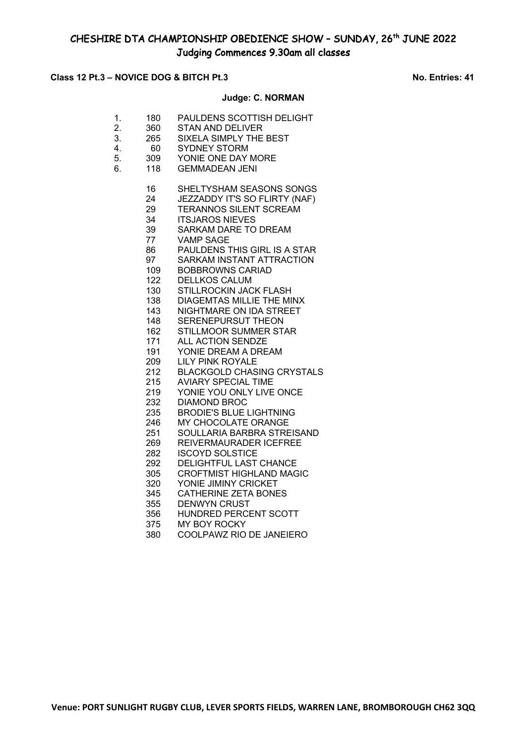### **Class 12 Pt.3 – NOVICE DOG & BITCH Pt.3 No. Entries: 41**

## **Judge: C. NORMAN**

- 1. 180 PAULDENS SCOTTISH DELIGHT
- 2. 360 STAN AND DELIVER
- 3. 265 SIXELA SIMPLY THE BEST
- 4. 60 SYDNEY STORM
- 5. 309 YONIE ONE DAY MORE
- 6. 118 GEMMADEAN JENI
	- 16 SHELTYSHAM SEASONS SONGS
	- 24 JEZZADDY IT'S SO FLIRTY (NAF)<br>29 TERANNOS SILENT SCREAM
	- 29 TERANNOS SILENT SCREAM<br>34 TTSJAROS NIEVES
	- **ITSJAROS NIEVES**
	- 39 SARKAM DARE TO DREAM
	- 77 VAMP SAGE
	- 86 PAULDENS THIS GIRL IS A STAR
	- 97 SARKAM INSTANT ATTRACTION
	- 109 BOBBROWNS CARIAD
	- 122 DELLKOS CALUM
	- 130 STILLROCKIN JACK FLASH
	- 138 DIAGEMTAS MILLIE THE MINX 143 NIGHTMARE ON IDA STREET
	-
	- 148 SERENEPURSUT THEON 162 STILLMOOR SUMMER STAR
	- 171 ALL ACTION SENDZE
	- 191 YONIE DREAM A DREAM
	- 209 LILY PINK ROYALE
	- 212 BLACKGOLD CHASING CRYSTALS
	-
	- 215 AVIARY SPECIAL TIME<br>219 YONIE YOU ONLY LIVE 219 YONIE YOU ONLY LIVE ONCE<br>232 DIAMOND BROC
	- DIAMOND BROC
	- 235 BRODIE'S BLUE LIGHTNING<br>246 MY CHOCOLATE ORANGE
	-
	- 246 MY CHOCOLATE ORANGE<br>251 SOULLARIA BARBRA STRE SOULLARIA BARBRA STREISAND
	- 269 REIVERMAURADER ICEFREE
	- 282 ISCOYD SOLSTICE
	- 292 DELIGHTFUL LAST CHANCE
	- 305 CROFTMIST HIGHLAND MAGIC
	- 320 YONIE JIMINY CRICKET
	- 345 CATHERINE ZETA BONES
	- 355 DENWYN CRUST
	- 356 HUNDRED PERCENT SCOTT
	- 375 MY BOY ROCKY
	- 380 COOLPAWZ RIO DE JANEIERO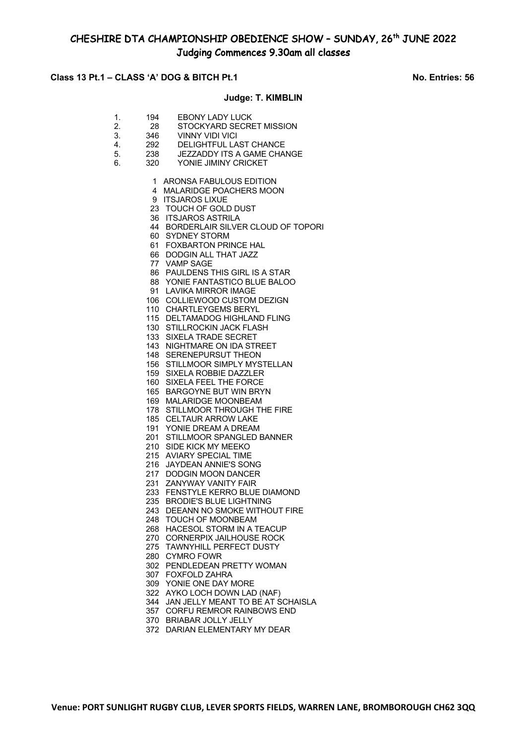### **Class 13 Pt.1 – CLASS 'A' DOG & BITCH Pt.1 No. Entries: 56**

### **Judge: T. KIMBLIN**

- 1. 194 EBONY LADY LUCK
- 2. 28 STOCKYARD SECRET MISSION<br>3. 346 VINNY VIDI VICI
- 3. 346 VINNY VIDI VICI<br>4 292 DELIGHTEULLA
- 4. 292 DELIGHTFUL LAST CHANCE<br>5. 238 JEZZADDY ITS A GAME CHA
- 5. 238 JEZZADDY ITS A GAME CHANGE
- 6. 320 YONIE JIMINY CRICKET
	- 1 ARONSA FABULOUS EDITION
	- 4 MALARIDGE POACHERS MOON
	- 9 ITSJAROS LIXUE
	- 23 TOUCH OF GOLD DUST
	- 36 ITSJAROS ASTRILA
	- 44 BORDERLAIR SILVER CLOUD OF TOPORI
	- 60 SYDNEY STORM
	- 61 FOXBARTON PRINCE HAL
	- 66 DODGIN ALL THAT JAZZ
	- 77 VAMP SAGE
	- 86 PAULDENS THIS GIRL IS A STAR
	- 88 YONIE FANTASTICO BLUE BALOO
	- 91 LAVIKA MIRROR IMAGE
	- 106 COLLIEWOOD CUSTOM DEZIGN
	- 110 CHARTLEYGEMS BERYL
	- 115 DELTAMADOG HIGHLAND FLING
	- 130 STILLROCKIN JACK FLASH
	- 133 SIXELA TRADE SECRET
	- 143 NIGHTMARE ON IDA STREET
	- 148 SERENEPURSUT THEON
	- 156 STILLMOOR SIMPLY MYSTELLAN
	- 159 SIXELA ROBBIE DAZZLER
	- 160 SIXELA FEEL THE FORCE
	- 165 BARGOYNE BUT WIN BRYN 169 MALARIDGE MOONBEAM
	- 178 STILLMOOR THROUGH THE FIRE
	- 185 CELTAUR ARROW LAKE
	- 191 YONIE DREAM A DREAM
	- 201 STILLMOOR SPANGLED BANNER
	- 210 SIDE KICK MY MEEKO
	- 215 AVIARY SPECIAL TIME
	- 216 JAYDEAN ANNIE'S SONG
	- 217 DODGIN MOON DANCER
	- 231 ZANYWAY VANITY FAIR
	- 233 FENSTYLE KERRO BLUE DIAMOND
	- 235 BRODIE'S BLUE LIGHTNING
	- 243 DEEANN NO SMOKE WITHOUT FIRE
	- 248 TOUCH OF MOONBEAM
	- 268 HACESOL STORM IN A TEACUP
	- 270 CORNERPIX JAILHOUSE ROCK
	- 275 TAWNYHILL PERFECT DUSTY
	- 280 CYMRO FOWR
	- 302 PENDLEDEAN PRETTY WOMAN
	- 307 FOXFOLD ZAHRA
	- 309 YONIE ONE DAY MORE
	- 322 AYKO LOCH DOWN LAD (NAF)
	- 344 JAN JELLY MEANT TO BE AT SCHAISLA
	- 357 CORFU REMROR RAINBOWS END
	- 370 BRIABAR JOLLY JELLY
	- 372 DARIAN ELEMENTARY MY DEAR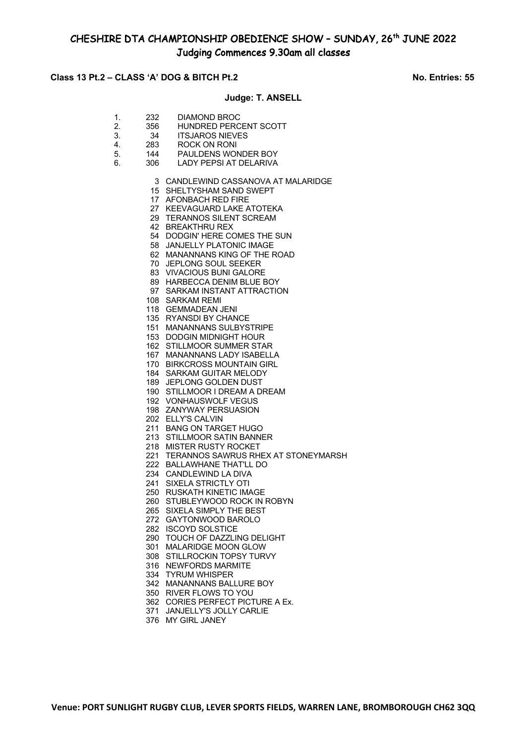### **Class 13 Pt.2 – CLASS 'A' DOG & BITCH Pt.2 No. Entries: 55**

### **Judge: T. ANSELL**

- 1. 232 DIAMOND BROC 2. 356 HUNDRED PERCENT SCOTT 3. 34 ITSJAROS NIEVES<br>4. 283 ROCK ON RONI 283 ROCK ON RONI 5. 144 PAULDENS WONDER BOY 6. 306 LADY PEPSI AT DELARIVA 3 CANDLEWIND CASSANOVA AT MALARIDGE 15 SHELTYSHAM SAND SWEPT 17 AFONBACH RED FIRE 27 KEEVAGUARD LAKE ATOTEKA 29 TERANNOS SILENT SCREAM 42 BREAKTHRU REX 54 DODGIN' HERE COMES THE SUN 58 JANJELLY PLATONIC IMAGE 62 MANANNANS KING OF THE ROAD 70 JEPLONG SOUL SEEKER 83 VIVACIOUS BUNI GALORE 89 HARBECCA DENIM BLUE BOY 97 SARKAM INSTANT ATTRACTION 108 SARKAM REMI 118 GEMMADEAN JENI 135 RYANSDI BY CHANCE 151 MANANNANS SULBYSTRIPE 153 DODGIN MIDNIGHT HOUR 162 STILLMOOR SUMMER STAR 167 MANANNANS LADY ISABELLA 170 BIRKCROSS MOUNTAIN GIRL 184 SARKAM GUITAR MELODY 189 JEPLONG GOLDEN DUST 190 STILLMOOR I DREAM A DREAM 192 VONHAUSWOLF VEGUS 198 ZANYWAY PERSUASION 202 ELLY'S CALVIN 211 BANG ON TARGET HUGO 213 STILLMOOR SATIN BANNER 218 MISTER RUSTY ROCKET 221 TERANNOS SAWRUS RHEX AT STONEYMARSH 222 BALLAWHANE THAT'LL DO 234 CANDLEWIND LA DIVA 241 SIXELA STRICTLY OTI 250 RUSKATH KINETIC IMAGE 260 STUBLEYWOOD ROCK IN ROBYN 265 SIXELA SIMPLY THE BEST 272 GAYTONWOOD BAROLO 282 ISCOYD SOLSTICE 290 TOUCH OF DAZZLING DELIGHT 301 MALARIDGE MOON GLOW 308 STILLROCKIN TOPSY TURVY 316 NEWFORDS MARMITE 334 TYRUM WHISPER 342 MANANNANS BALLURE BOY 350 RIVER FLOWS TO YOU 362 CORIES PERFECT PICTURE A Ex. 371 JANJELLY'S JOLLY CARLIE
	- 376 MY GIRL JANEY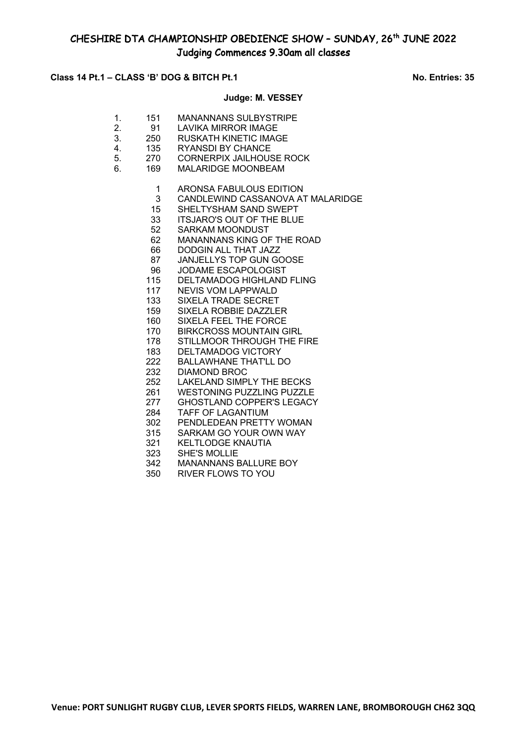### **Class 14 Pt.1 – CLASS 'B' DOG & BITCH Pt.1 No. Entries: 35**

### **Judge: M. VESSEY**

- 1. 151 MANANNANS SULBYSTRIPE
- 2. 91 LAVIKA MIRROR IMAGE
- 3. 250 RUSKATH KINETIC IMAGE 4. 135 RYANSDI BY CHANCE
- 
- 5. 270 CORNERPIX JAILHOUSE ROCK<br>6. 169 MALARIDGE MOONBEAM 6. 169 MALARIDGE MOONBEAM
	- - 1 ARONSA FABULOUS EDITION
		- 3 CANDLEWIND CASSANOVA AT MALARIDGE<br>15 SHELTYSHAM SAND SWEPT
		- SHELTYSHAM SAND SWEPT
		- 33 ITSJARO'S OUT OF THE BLUE
		- 52 SARKAM MOONDUST
		- 62 MANANNANS KING OF THE ROAD
		- 66 DODGIN ALL THAT JAZZ
		- 87 JANJELLYS TOP GUN GOOSE
		- 96 JODAME ESCAPOLOGIST
		- 115 DELTAMADOG HIGHLAND FLING
		- 117 NEVIS VOM LAPPWALD
		- 133 SIXELA TRADE SECRET
		- 159 SIXELA ROBBIE DAZZLER
		- 160 SIXELA FEEL THE FORCE
		- 170 BIRKCROSS MOUNTAIN GIRL
		- 178 STILLMOOR THROUGH THE FIRE
		- 183 DELTAMADOG VICTORY 222 BALLAWHANE THAT'LL DO
		- 232 DIAMOND BROC
		-
		- 252 LAKELAND SIMPLY THE BECKS<br>261 WESTONING PUZZLING PUZZLE WESTONING PUZZLING PUZZLE
		- 277 GHOSTLAND COPPER'S LEGACY
		- 284 TAFF OF LAGANTIUM<br>302 PENDLEDEAN PRETT
		- PENDLEDEAN PRETTY WOMAN
		- 315 SARKAM GO YOUR OWN WAY
		- 321 KELTLODGE KNAUTIA
		- 323 SHE'S MOLLIE
		- 342 MANANNANS BALLURE BOY
		- 350 RIVER FLOWS TO YOU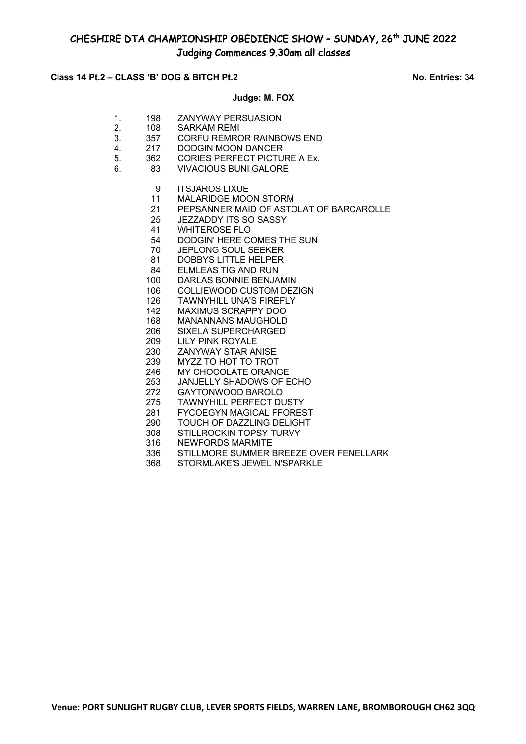### **Class 14 Pt.2 – CLASS 'B' DOG & BITCH Pt.2 No. Entries: 34**

### **Judge: M. FOX**

- 1. 198 ZANYWAY PERSUASION
- 2. 108 SARKAM REMI
- 3. 357 CORFU REMROR RAINBOWS END
- 4. 217 DODGIN MOON DANCER<br>5. 362 CORIES PERFECT PICTU
- 5. 362 CORIES PERFECT PICTURE A Ex.<br>6. 83 VIVACIOUS BUNI GAI ORF
- 6. 83 VIVACIOUS BUNI GALORE
	- 9 ITSJAROS LIXUE
	- 11 MALARIDGE MOON STORM<br>21 PEPSANNER MAID OF ASTO
	- 21 PEPSANNER MAID OF ASTOLAT OF BARCAROLLE<br>25 JEZZADDY ITS SO SASSY
	- JEZZADDY ITS SO SASSY
	- 41 WHITEROSE FLO
	- 54 DODGIN' HERE COMES THE SUN<br>70 JEPLONG SOUL SEEKER
	- JEPLONG SOUL SEEKER
	- 81 DOBBYS LITTLE HELPER
	- 84 ELMLEAS TIG AND RUN
	- 100 DARLAS BONNIE BENJAMIN
	- 106 COLLIEWOOD CUSTOM DEZIGN
	- 126 TAWNYHILL UNA'S FIREFLY
	- 142 MAXIMUS SCRAPPY DOO
	- 168 MANANNANS MAUGHOLD
	- 206 SIXELA SUPERCHARGED
	- 209 LILY PINK ROYALE
	- 230 ZANYWAY STAR ANISE
	- 239 MYZZ TO HOT TO TROT
	- 246 MY CHOCOLATE ORANGE
	- 253 JANJELLY SHADOWS OF ECHO<br>272 GAYTONWOOD BAROLO
	- 272 GAYTONWOOD BAROLO<br>275 TAWNYHILL PERFECT DU
	- 275 TAWNYHILL PERFECT DUSTY
	- 281 FYCOEGYN MAGICAL FFOREST<br>290 TOUCH OF DAZZLING DELIGHT
	- 290 TOUCH OF DAZZLING DELIGHT<br>308 STILLROCKIN TOPSY TURVY
	- STILLROCKIN TOPSY TURVY
	- 316 NEWFORDS MARMITE
	- 336 STILLMORE SUMMER BREEZE OVER FENELLARK
	- 368 STORMLAKE'S JEWEL N'SPARKLE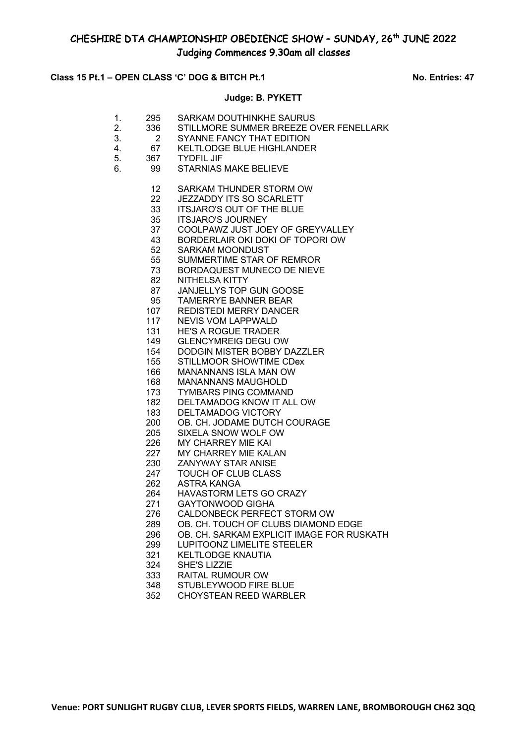### **Class 15 Pt.1 – OPEN CLASS 'C' DOG & BITCH Pt.1 No. Entries: 47**

### **Judge: B. PYKETT**

| 295 | SARKAM DOUTHINKHE SAURUS                 |
|-----|------------------------------------------|
| റാമ | $C$ TILLMODE CLIMITED BDEEZE OVED FENELL |

- 2. 336 STILLMORE SUMMER BREEZE OVER FENELLARK
- 3. 2 SYANNE FANCY THAT EDITION
- 4. 67 KELTLODGE BLUE HIGHLANDER
- 5. 367 TYDFIL JIF
- 6. 99 STARNIAS MAKE BELIEVE
	- SARKAM THUNDER STORM OW
	- 22 JEZZADDY ITS SO SCARLETT<br>33 ITSJARO'S OUT OF THE BLUE
	- 33 ITSJARO'S OUT OF THE BLUE<br>35 ITSJARO'S JOURNEY
	- ITSJARO'S JOURNEY
	- COOLPAWZ JUST JOEY OF GREYVALLEY
	- BORDERLAIR OKI DOKI OF TOPORI OW
	- SARKAM MOONDUST
	- SUMMERTIME STAR OF REMROR
	- BORDAQUEST MUNECO DE NIEVE
	- NITHELSA KITTY
	- JANJELLYS TOP GUN GOOSE
	- TAMERRYE BANNER BEAR
	- REDISTEDI MERRY DANCER
	- NEVIS VOM LAPPWALD
	- HE'S A ROGUE TRADER
	- GLENCYMREIG DEGU OW
	- DODGIN MISTER BOBBY DAZZLER
	- STILLMOOR SHOWTIME CDex
	- MANANNANS ISLA MAN OW
	- MANANNANS MAUGHOLD
	- TYMBARS PING COMMAND
	- DELTAMADOG KNOW IT ALL OW
	- 183 DELTAMADOG VICTORY<br>200 OB. CH. JODAME DUTCH
	- 200 OB. CH. JODAME DUTCH COURAGE<br>205 SIXELA SNOW WOLF OW
	- SIXELA SNOW WOLF OW
	- MY CHARREY MIE KAI
	- MY CHARREY MIE KALAN
	- ZANYWAY STAR ANISE
	- TOUCH OF CLUB CLASS
	- ASTRA KANGA
	- HAVASTORM LETS GO CRAZY
	- GAYTONWOOD GIGHA
	- CALDONBECK PERFECT STORM OW
	- OB. CH. TOUCH OF CLUBS DIAMOND EDGE
	- OB. CH. SARKAM EXPLICIT IMAGE FOR RUSKATH
	- LUPITOONZ LIMELITE STEELER
	- KELTLODGE KNAUTIA
	- SHE'S LIZZIE
	- RAITAL RUMOUR OW
	- STUBLEYWOOD FIRE BLUE
	- CHOYSTEAN REED WARBLER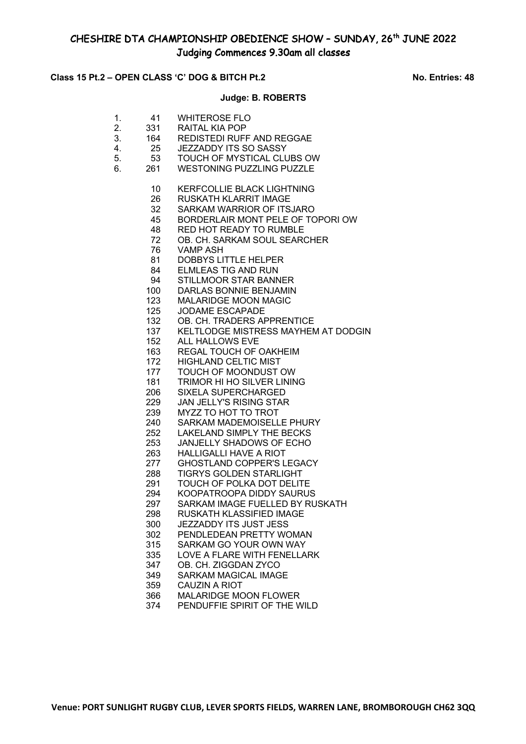## Class 15 Pt.2 – OPEN CLASS 'C' DOG & BITCH Pt.2 No. Entries: 48

### **Judge: B. ROBERTS**

| 1.<br>2.<br>3.<br>4.<br>5.<br>6. | 41<br>331<br>164<br>25<br>53<br>261                                                                                                                                                                                                                   | <b>WHITEROSE FLO</b><br>RAITAL KIA POP<br><b>REDISTEDI RUFF AND REGGAE</b><br><b>JEZZADDY ITS SO SASSY</b><br>TOUCH OF MYSTICAL CLUBS OW<br><b>WESTONING PUZZLING PUZZLE</b>                                                                                                                                                                                                                                                                                                                                                                                                                                                                                                                                                                                                                                                                                                                                                                                                                                                                                                                                                              |
|----------------------------------|-------------------------------------------------------------------------------------------------------------------------------------------------------------------------------------------------------------------------------------------------------|-------------------------------------------------------------------------------------------------------------------------------------------------------------------------------------------------------------------------------------------------------------------------------------------------------------------------------------------------------------------------------------------------------------------------------------------------------------------------------------------------------------------------------------------------------------------------------------------------------------------------------------------------------------------------------------------------------------------------------------------------------------------------------------------------------------------------------------------------------------------------------------------------------------------------------------------------------------------------------------------------------------------------------------------------------------------------------------------------------------------------------------------|
|                                  | 10<br>26<br>32<br>45<br>48<br>72<br>76<br>81<br>84<br>94<br>100<br>123<br>125<br>132<br>137<br>152<br>163<br>172<br>177<br>181<br>206<br>229<br>239<br>240<br>252<br>253<br>263<br>277<br>288<br>291<br>294<br>297<br>298<br>300<br>302<br>315<br>335 | <b>KERFCOLLIE BLACK LIGHTNING</b><br>RUSKATH KLARRIT IMAGE<br>SARKAM WARRIOR OF ITSJARO<br>BORDERLAIR MONT PELE OF TOPORI OW<br><b>RED HOT READY TO RUMBLE</b><br>OB. CH. SARKAM SOUL SEARCHER<br><b>VAMP ASH</b><br><b>DOBBYS LITTLE HELPER</b><br><b>ELMLEAS TIG AND RUN</b><br>STILLMOOR STAR BANNER<br>DARLAS BONNIE BENJAMIN<br><b>MALARIDGE MOON MAGIC</b><br><b>JODAME ESCAPADE</b><br>OB. CH. TRADERS APPRENTICE<br>KELTLODGE MISTRESS MAYHEM AT DODGIN<br><b>ALL HALLOWS EVE</b><br><b>REGAL TOUCH OF OAKHEIM</b><br><b>HIGHLAND CELTIC MIST</b><br>TOUCH OF MOONDUST OW<br>TRIMOR HI HO SILVER LINING<br><b>SIXELA SUPERCHARGED</b><br><b>JAN JELLY'S RISING STAR</b><br>MYZZ TO HOT TO TROT<br>SARKAM MADEMOISELLE PHURY<br><b>LAKELAND SIMPLY THE BECKS</b><br>JANJELLY SHADOWS OF ECHO<br>HALLIGALLI HAVE A RIOT<br><b>GHOSTLAND COPPER'S LEGACY</b><br><b>TIGRYS GOLDEN STARLIGHT</b><br>TOUCH OF POLKA DOT DELITE<br>KOOPATROOPA DIDDY SAURUS<br>SARKAM IMAGE FUELLED BY RUSKATH<br>RUSKATH KLASSIFIED IMAGE<br>JEZZADDY ITS JUST JESS<br>PENDLEDEAN PRETTY WOMAN<br>SARKAM GO YOUR OWN WAY<br>LOVE A FLARE WITH FENELLARK |
|                                  | 347                                                                                                                                                                                                                                                   | OB. CH. ZIGGDAN ZYCO                                                                                                                                                                                                                                                                                                                                                                                                                                                                                                                                                                                                                                                                                                                                                                                                                                                                                                                                                                                                                                                                                                                      |
|                                  | 349<br>359                                                                                                                                                                                                                                            | <b>SARKAM MAGICAL IMAGE</b><br>CAUZIN A RIOT                                                                                                                                                                                                                                                                                                                                                                                                                                                                                                                                                                                                                                                                                                                                                                                                                                                                                                                                                                                                                                                                                              |
|                                  | 366                                                                                                                                                                                                                                                   | <b>MALARIDGE MOON FLOWER</b>                                                                                                                                                                                                                                                                                                                                                                                                                                                                                                                                                                                                                                                                                                                                                                                                                                                                                                                                                                                                                                                                                                              |
|                                  | 374                                                                                                                                                                                                                                                   | PENDUFFIE SPIRIT OF THE WILD                                                                                                                                                                                                                                                                                                                                                                                                                                                                                                                                                                                                                                                                                                                                                                                                                                                                                                                                                                                                                                                                                                              |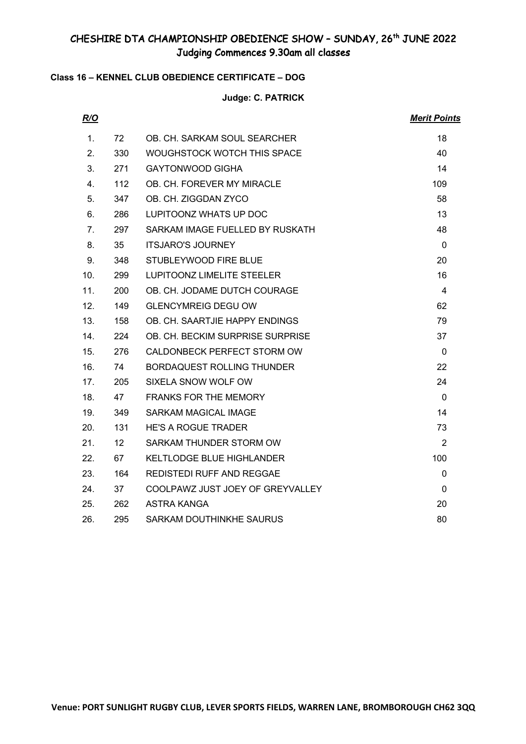## **Class 16 – KENNEL CLUB OBEDIENCE CERTIFICATE – DOG**

## **Judge: C. PATRICK**

| R/O |                 |                                   | <b>Merit Points</b> |
|-----|-----------------|-----------------------------------|---------------------|
| 1.  | 72              | OB. CH. SARKAM SOUL SEARCHER      | 18                  |
| 2.  | 330             | WOUGHSTOCK WOTCH THIS SPACE       | 40                  |
| 3.  | 271             | <b>GAYTONWOOD GIGHA</b>           | 14                  |
| 4.  | 112             | OB. CH. FOREVER MY MIRACLE        | 109                 |
| 5.  | 347             | OB. CH. ZIGGDAN ZYCO              | 58                  |
| 6.  | 286             | LUPITOONZ WHATS UP DOC            | 13                  |
| 7.  | 297             | SARKAM IMAGE FUELLED BY RUSKATH   | 48                  |
| 8.  | 35              | <b>ITSJARO'S JOURNEY</b>          | $\Omega$            |
| 9.  | 348             | STUBLEYWOOD FIRE BLUE             | 20                  |
| 10. | 299             | <b>LUPITOONZ LIMELITE STEELER</b> | 16                  |
| 11. | 200             | OB. CH. JODAME DUTCH COURAGE      | 4                   |
| 12. | 149             | <b>GLENCYMREIG DEGU OW</b>        | 62                  |
| 13. | 158             | OB. CH. SAARTJIE HAPPY ENDINGS    | 79                  |
| 14. | 224             | OB. CH. BECKIM SURPRISE SURPRISE  | 37                  |
| 15. | 276             | CALDONBECK PERFECT STORM OW       | $\Omega$            |
| 16. | 74              | <b>BORDAQUEST ROLLING THUNDER</b> | 22                  |
| 17. | 205             | SIXELA SNOW WOLF OW               | 24                  |
| 18. | 47              | <b>FRANKS FOR THE MEMORY</b>      | $\Omega$            |
| 19. | 349             | <b>SARKAM MAGICAL IMAGE</b>       | 14                  |
| 20. | 131             | <b>HE'S A ROGUE TRADER</b>        | 73                  |
| 21. | 12 <sup>°</sup> | SARKAM THUNDER STORM OW           | $\overline{2}$      |
| 22. | 67              | <b>KELTLODGE BLUE HIGHLANDER</b>  | 100                 |
| 23. | 164             | REDISTEDI RUFF AND REGGAE         | 0                   |
| 24. | 37              | COOLPAWZ JUST JOEY OF GREYVALLEY  | 0                   |
| 25. | 262             | ASTRA KANGA                       | 20                  |
| 26. | 295             | SARKAM DOUTHINKHE SAURUS          | 80                  |